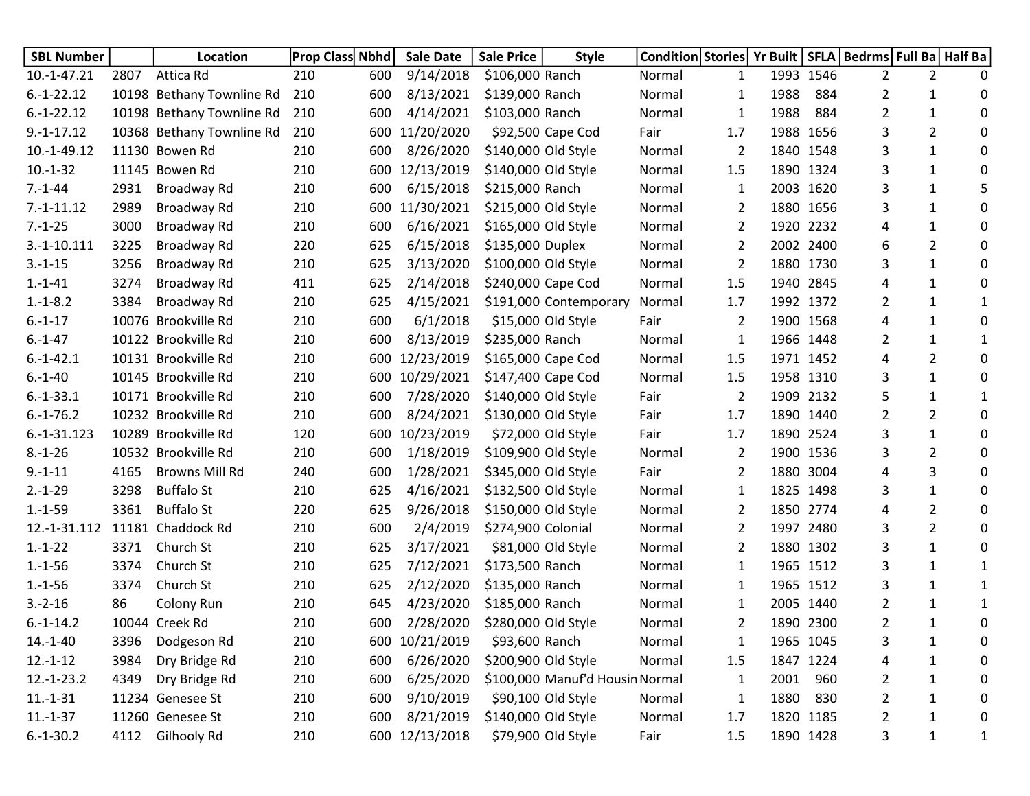| <b>SBL Number</b> |      | Location                  | <b>Prop Class Nbhd</b> |     | <b>Sale Date</b> | <b>Sale Price</b>   | <b>Style</b>                    | Condition Stories   Yr Built   SFLA   Bedrms   Full Ba   Half Ba |              |      |           |   |                |              |
|-------------------|------|---------------------------|------------------------|-----|------------------|---------------------|---------------------------------|------------------------------------------------------------------|--------------|------|-----------|---|----------------|--------------|
| $10.-1-47.21$     | 2807 | Attica Rd                 | 210                    | 600 | 9/14/2018        | \$106,000 Ranch     |                                 | Normal                                                           | 1            |      | 1993 1546 | 2 | 2              | 0            |
| $6.-1-22.12$      |      | 10198 Bethany Townline Rd | 210                    | 600 | 8/13/2021        | \$139,000 Ranch     |                                 | Normal                                                           | 1            | 1988 | 884       | 2 | 1              | 0            |
| $6.-1-22.12$      |      | 10198 Bethany Townline Rd | 210                    | 600 | 4/14/2021        | \$103,000 Ranch     |                                 | Normal                                                           | 1            | 1988 | 884       | 2 | 1              | 0            |
| $9.-1-17.12$      |      | 10368 Bethany Townline Rd | 210                    | 600 | 11/20/2020       |                     | \$92,500 Cape Cod               | Fair                                                             | 1.7          |      | 1988 1656 | 3 | $\overline{2}$ | 0            |
| 10.-1-49.12       |      | 11130 Bowen Rd            | 210                    | 600 | 8/26/2020        | \$140,000 Old Style |                                 | Normal                                                           | 2            |      | 1840 1548 | 3 | 1              | 0            |
| $10.-1-32$        |      | 11145 Bowen Rd            | 210                    | 600 | 12/13/2019       | \$140,000 Old Style |                                 | Normal                                                           | 1.5          |      | 1890 1324 | 3 | $\mathbf{1}$   | 0            |
| $7.-1-44$         | 2931 | Broadway Rd               | 210                    | 600 | 6/15/2018        | \$215,000 Ranch     |                                 | Normal                                                           | 1            |      | 2003 1620 | 3 | 1              | 5            |
| $7.-1-11.12$      | 2989 | Broadway Rd               | 210                    | 600 | 11/30/2021       | \$215,000 Old Style |                                 | Normal                                                           | 2            |      | 1880 1656 | 3 | $\mathbf{1}$   | 0            |
| $7.-1-25$         | 3000 | Broadway Rd               | 210                    | 600 | 6/16/2021        | \$165,000 Old Style |                                 | Normal                                                           | 2            |      | 1920 2232 | 4 | 1              | 0            |
| $3.-1-10.111$     | 3225 | Broadway Rd               | 220                    | 625 | 6/15/2018        | \$135,000 Duplex    |                                 | Normal                                                           | 2            |      | 2002 2400 | 6 | $\overline{2}$ | 0            |
| $3.-1-15$         | 3256 | Broadway Rd               | 210                    | 625 | 3/13/2020        | \$100,000 Old Style |                                 | Normal                                                           | 2            |      | 1880 1730 | 3 | $\mathbf{1}$   | 0            |
| $1.-1-41$         | 3274 | Broadway Rd               | 411                    | 625 | 2/14/2018        | \$240,000 Cape Cod  |                                 | Normal                                                           | 1.5          |      | 1940 2845 | 4 | 1              | 0            |
| $1.-1-8.2$        | 3384 | Broadway Rd               | 210                    | 625 | 4/15/2021        |                     | \$191,000 Contemporary          | Normal                                                           | 1.7          |      | 1992 1372 | 2 | $\mathbf{1}$   | 1            |
| $6.-1-17$         |      | 10076 Brookville Rd       | 210                    | 600 | 6/1/2018         | \$15,000 Old Style  |                                 | Fair                                                             | 2            |      | 1900 1568 | 4 | 1              | 0            |
| $6.-1-47$         |      | 10122 Brookville Rd       | 210                    | 600 | 8/13/2019        | \$235,000 Ranch     |                                 | Normal                                                           | $\mathbf{1}$ |      | 1966 1448 | 2 | $\mathbf{1}$   | 1            |
| $6.-1-42.1$       |      | 10131 Brookville Rd       | 210                    | 600 | 12/23/2019       | \$165,000 Cape Cod  |                                 | Normal                                                           | 1.5          |      | 1971 1452 | 4 | $\overline{2}$ | 0            |
| $6.-1-40$         |      | 10145 Brookville Rd       | 210                    | 600 | 10/29/2021       | \$147,400 Cape Cod  |                                 | Normal                                                           | 1.5          |      | 1958 1310 | 3 | 1              | 0            |
| $6.-1-33.1$       |      | 10171 Brookville Rd       | 210                    | 600 | 7/28/2020        | \$140,000 Old Style |                                 | Fair                                                             | 2            |      | 1909 2132 | 5 | $\mathbf{1}$   | 1            |
| $6.-1-76.2$       |      | 10232 Brookville Rd       | 210                    | 600 | 8/24/2021        | \$130,000 Old Style |                                 | Fair                                                             | 1.7          |      | 1890 1440 | 2 | $\overline{2}$ | 0            |
| $6.-1-31.123$     |      | 10289 Brookville Rd       | 120                    | 600 | 10/23/2019       | \$72,000 Old Style  |                                 | Fair                                                             | 1.7          |      | 1890 2524 | 3 | $\mathbf{1}$   | 0            |
| $8.-1-26$         |      | 10532 Brookville Rd       | 210                    | 600 | 1/18/2019        | \$109,900 Old Style |                                 | Normal                                                           | 2            |      | 1900 1536 | 3 | $\overline{2}$ | 0            |
| $9.-1-11$         | 4165 | Browns Mill Rd            | 240                    | 600 | 1/28/2021        | \$345,000 Old Style |                                 | Fair                                                             | 2            |      | 1880 3004 | 4 | 3              | 0            |
| $2.-1-29$         | 3298 | <b>Buffalo St</b>         | 210                    | 625 | 4/16/2021        | \$132,500 Old Style |                                 | Normal                                                           | 1            |      | 1825 1498 | 3 | $\mathbf{1}$   | 0            |
| $1.-1-59$         | 3361 | <b>Buffalo St</b>         | 220                    | 625 | 9/26/2018        | \$150,000 Old Style |                                 | Normal                                                           | 2            |      | 1850 2774 | 4 | $\overline{2}$ | 0            |
| 12.-1-31.112      |      | 11181 Chaddock Rd         | 210                    | 600 | 2/4/2019         | \$274,900 Colonial  |                                 | Normal                                                           | 2            |      | 1997 2480 | 3 | $\overline{2}$ | 0            |
| $1.-1-22$         | 3371 | Church St                 | 210                    | 625 | 3/17/2021        |                     | \$81,000 Old Style              | Normal                                                           | 2            |      | 1880 1302 | 3 | $\mathbf{1}$   | 0            |
| $1.-1-56$         | 3374 | Church St                 | 210                    | 625 | 7/12/2021        | \$173,500 Ranch     |                                 | Normal                                                           | $\mathbf{1}$ |      | 1965 1512 | 3 | 1              | 1            |
| $1.-1-56$         | 3374 | Church St                 | 210                    | 625 | 2/12/2020        | \$135,000 Ranch     |                                 | Normal                                                           | 1            |      | 1965 1512 | 3 | 1              | 1            |
| $3.-2-16$         | 86   | Colony Run                | 210                    | 645 | 4/23/2020        | \$185,000 Ranch     |                                 | Normal                                                           | 1            |      | 2005 1440 | 2 | 1              | 1            |
| $6.-1-14.2$       |      | 10044 Creek Rd            | 210                    | 600 | 2/28/2020        | \$280,000 Old Style |                                 | Normal                                                           | 2            |      | 1890 2300 | 2 | 1              | 0            |
| $14.-1-40$        | 3396 | Dodgeson Rd               | 210                    |     | 600 10/21/2019   | \$93,600 Ranch      |                                 | Normal                                                           | 1            |      | 1965 1045 | 3 | $\mathbf{1}$   | 0            |
| $12.-1-12$        | 3984 | Dry Bridge Rd             | 210                    | 600 | 6/26/2020        | \$200,900 Old Style |                                 | Normal                                                           | 1.5          |      | 1847 1224 | 4 | $\mathbf{1}$   | 0            |
| $12.-1-23.2$      | 4349 | Dry Bridge Rd             | 210                    | 600 | 6/25/2020        |                     | \$100,000 Manuf'd Housin Normal |                                                                  | 1            | 2001 | 960       | 2 | $\mathbf{1}$   | 0            |
| $11.-1-31$        |      | 11234 Genesee St          | 210                    | 600 | 9/10/2019        | \$90,100 Old Style  |                                 | Normal                                                           | $\mathbf{1}$ | 1880 | 830       | 2 | $\mathbf{1}$   | 0            |
| $11.-1-37$        |      | 11260 Genesee St          | 210                    | 600 | 8/21/2019        | \$140,000 Old Style |                                 | Normal                                                           | 1.7          |      | 1820 1185 | 2 | $\mathbf{1}$   | 0            |
| $6.-1-30.2$       | 4112 | Gilhooly Rd               | 210                    |     | 600 12/13/2018   |                     | \$79,900 Old Style              | Fair                                                             | 1.5          |      | 1890 1428 | 3 | $\mathbf 1$    | $\mathbf{1}$ |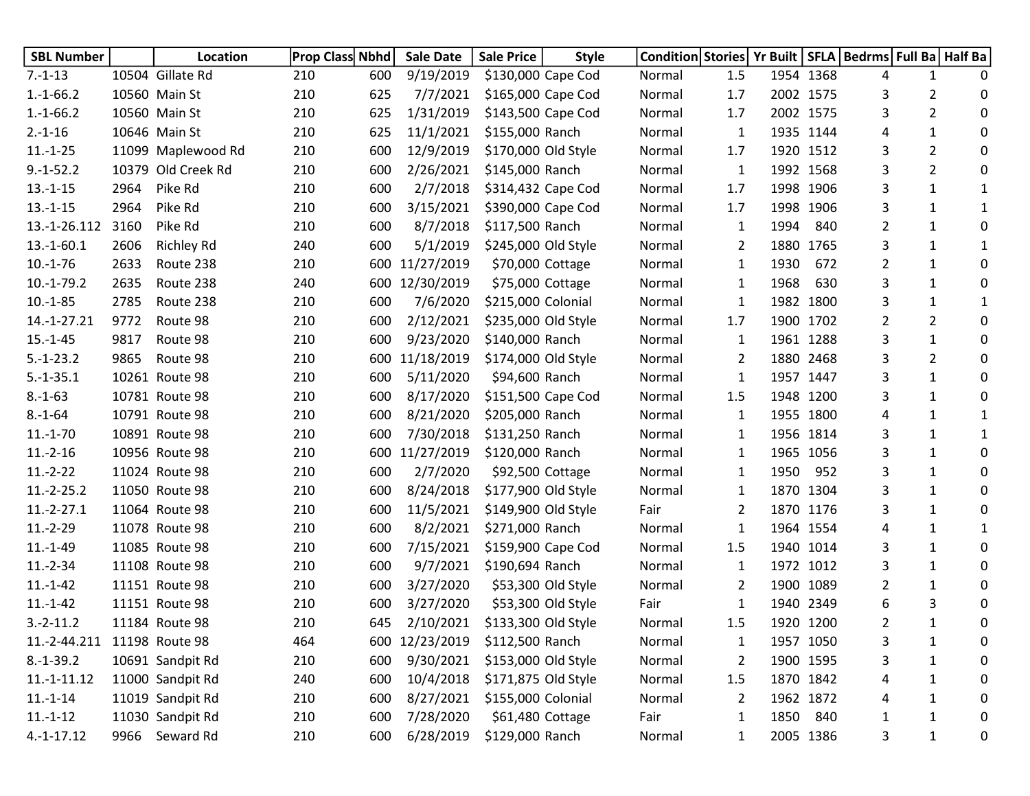| <b>SBL Number</b> |      | Location           | <b>Prop Class Nbhd</b> |     | <b>Sale Date</b> | <b>Sale Price</b>   | <b>Style</b>       | Condition Stories   Yr Built |                |      |           | SFLA   Bedrms   Full Ba   Half Ba |                |   |
|-------------------|------|--------------------|------------------------|-----|------------------|---------------------|--------------------|------------------------------|----------------|------|-----------|-----------------------------------|----------------|---|
| $7.-1-13$         |      | 10504 Gillate Rd   | 210                    | 600 | 9/19/2019        | \$130,000 Cape Cod  |                    | Normal                       | 1.5            |      | 1954 1368 | 4                                 | 1              | 0 |
| $1.-1-66.2$       |      | 10560 Main St      | 210                    | 625 | 7/7/2021         | \$165,000 Cape Cod  |                    | Normal                       | 1.7            |      | 2002 1575 | 3                                 | 2              | 0 |
| $1.-1-66.2$       |      | 10560 Main St      | 210                    | 625 | 1/31/2019        | \$143,500 Cape Cod  |                    | Normal                       | 1.7            |      | 2002 1575 | 3                                 | $\overline{2}$ | 0 |
| $2.-1-16$         |      | 10646 Main St      | 210                    | 625 | 11/1/2021        | \$155,000 Ranch     |                    | Normal                       | 1              |      | 1935 1144 | 4                                 | $\mathbf{1}$   | 0 |
| $11.-1-25$        |      | 11099 Maplewood Rd | 210                    | 600 | 12/9/2019        | \$170,000 Old Style |                    | Normal                       | 1.7            |      | 1920 1512 | 3                                 | $\overline{2}$ | 0 |
| $9.-1-52.2$       |      | 10379 Old Creek Rd | 210                    | 600 | 2/26/2021        | \$145,000 Ranch     |                    | Normal                       | 1              |      | 1992 1568 | 3                                 | $\overline{2}$ | 0 |
| $13.-1-15$        | 2964 | Pike Rd            | 210                    | 600 | 2/7/2018         | \$314,432 Cape Cod  |                    | Normal                       | 1.7            |      | 1998 1906 | 3                                 | $\mathbf{1}$   | 1 |
| $13.-1-15$        | 2964 | Pike Rd            | 210                    | 600 | 3/15/2021        | \$390,000 Cape Cod  |                    | Normal                       | 1.7            |      | 1998 1906 | 3                                 | $\mathbf{1}$   | 1 |
| 13.-1-26.112      | 3160 | Pike Rd            | 210                    | 600 | 8/7/2018         | \$117,500 Ranch     |                    | Normal                       | $\mathbf{1}$   | 1994 | 840       | 2                                 | $\mathbf{1}$   | 0 |
| $13.-1-60.1$      | 2606 | <b>Richley Rd</b>  | 240                    | 600 | 5/1/2019         | \$245,000 Old Style |                    | Normal                       | 2              |      | 1880 1765 | 3                                 | $\mathbf{1}$   | 1 |
| $10.-1-76$        | 2633 | Route 238          | 210                    | 600 | 11/27/2019       | \$70,000 Cottage    |                    | Normal                       | 1              | 1930 | 672       | 2                                 | $\mathbf{1}$   | 0 |
| $10.-1-79.2$      | 2635 | Route 238          | 240                    | 600 | 12/30/2019       | \$75,000 Cottage    |                    | Normal                       | 1              | 1968 | 630       | 3                                 | $\mathbf{1}$   | 0 |
| $10.-1-85$        | 2785 | Route 238          | 210                    | 600 | 7/6/2020         | \$215,000 Colonial  |                    | Normal                       | 1              |      | 1982 1800 | 3                                 | $\mathbf{1}$   | 1 |
| 14.-1-27.21       | 9772 | Route 98           | 210                    | 600 | 2/12/2021        | \$235,000 Old Style |                    | Normal                       | 1.7            |      | 1900 1702 | 2                                 | $\overline{2}$ | 0 |
| $15.-1-45$        | 9817 | Route 98           | 210                    | 600 | 9/23/2020        | \$140,000 Ranch     |                    | Normal                       | 1              |      | 1961 1288 | 3                                 | $\mathbf{1}$   | 0 |
| $5.-1-23.2$       | 9865 | Route 98           | 210                    | 600 | 11/18/2019       | \$174,000 Old Style |                    | Normal                       | 2              |      | 1880 2468 | 3                                 | $\overline{2}$ | 0 |
| $5.-1-35.1$       |      | 10261 Route 98     | 210                    | 600 | 5/11/2020        | \$94,600 Ranch      |                    | Normal                       | 1              |      | 1957 1447 | 3                                 | $\mathbf{1}$   | 0 |
| $8.-1-63$         |      | 10781 Route 98     | 210                    | 600 | 8/17/2020        | \$151,500 Cape Cod  |                    | Normal                       | 1.5            |      | 1948 1200 | 3                                 | $\mathbf{1}$   | 0 |
| $8 - 1 - 64$      |      | 10791 Route 98     | 210                    | 600 | 8/21/2020        | \$205,000 Ranch     |                    | Normal                       | 1              |      | 1955 1800 | 4                                 | $\mathbf{1}$   | 1 |
| $11.-1-70$        |      | 10891 Route 98     | 210                    | 600 | 7/30/2018        | \$131,250 Ranch     |                    | Normal                       | 1              |      | 1956 1814 | 3                                 | $\mathbf{1}$   | 1 |
| $11.-2-16$        |      | 10956 Route 98     | 210                    | 600 | 11/27/2019       | \$120,000 Ranch     |                    | Normal                       | 1              |      | 1965 1056 | 3                                 | $\mathbf{1}$   | 0 |
| $11.-2-22$        |      | 11024 Route 98     | 210                    | 600 | 2/7/2020         | \$92,500 Cottage    |                    | Normal                       | $\mathbf{1}$   | 1950 | 952       | 3                                 | $\mathbf{1}$   | 0 |
| $11.-2-25.2$      |      | 11050 Route 98     | 210                    | 600 | 8/24/2018        | \$177,900 Old Style |                    | Normal                       | $\mathbf{1}$   |      | 1870 1304 | 3                                 | $\mathbf{1}$   | 0 |
| $11.-2-27.1$      |      | 11064 Route 98     | 210                    | 600 | 11/5/2021        | \$149,900 Old Style |                    | Fair                         | 2              |      | 1870 1176 | 3                                 | $\mathbf{1}$   | 0 |
| $11.-2-29$        |      | 11078 Route 98     | 210                    | 600 | 8/2/2021         | \$271,000 Ranch     |                    | Normal                       | 1              |      | 1964 1554 | 4                                 | $\mathbf{1}$   | 1 |
| $11.-1-49$        |      | 11085 Route 98     | 210                    | 600 | 7/15/2021        | \$159,900 Cape Cod  |                    | Normal                       | 1.5            |      | 1940 1014 | 3                                 | $\mathbf{1}$   | 0 |
| $11.-2-34$        |      | 11108 Route 98     | 210                    | 600 | 9/7/2021         | \$190,694 Ranch     |                    | Normal                       | 1              |      | 1972 1012 | 3                                 | $\mathbf{1}$   | 0 |
| $11.-1-42$        |      | 11151 Route 98     | 210                    | 600 | 3/27/2020        |                     | \$53,300 Old Style | Normal                       | 2              |      | 1900 1089 | 2                                 | $\mathbf{1}$   | 0 |
| $11.-1-42$        |      | 11151 Route 98     | 210                    | 600 | 3/27/2020        | \$53,300 Old Style  |                    | Fair                         | 1              |      | 1940 2349 | 6                                 | 3              | 0 |
| $3.-2-11.2$       |      | 11184 Route 98     | 210                    | 645 | 2/10/2021        | \$133,300 Old Style |                    | Normal                       | 1.5            |      | 1920 1200 | 2                                 | 1              | 0 |
| 11.-2-44.211      |      | 11198 Route 98     | 464                    |     | 600 12/23/2019   | \$112,500 Ranch     |                    | Normal                       | 1              |      | 1957 1050 | 3                                 | 1              | 0 |
| $8.-1-39.2$       |      | 10691 Sandpit Rd   | 210                    | 600 | 9/30/2021        | \$153,000 Old Style |                    | Normal                       | $\overline{2}$ |      | 1900 1595 | 3                                 | $\mathbf{1}$   | 0 |
| $11.-1-11.12$     |      | 11000 Sandpit Rd   | 240                    | 600 | 10/4/2018        | \$171,875 Old Style |                    | Normal                       | 1.5            |      | 1870 1842 | 4                                 | $\mathbf{1}$   | 0 |
| $11.-1-14$        |      | 11019 Sandpit Rd   | 210                    | 600 | 8/27/2021        | \$155,000 Colonial  |                    | Normal                       | $\overline{2}$ |      | 1962 1872 | 4                                 | $\mathbf{1}$   | 0 |
| $11.-1-12$        |      | 11030 Sandpit Rd   | 210                    | 600 | 7/28/2020        | \$61,480 Cottage    |                    | Fair                         | 1              |      | 1850 840  | $\mathbf{1}$                      | $\mathbf{1}$   | 0 |
| $4.-1-17.12$      |      | 9966 Seward Rd     | 210                    | 600 | 6/28/2019        | \$129,000 Ranch     |                    | Normal                       | 1              |      | 2005 1386 | 3                                 | $\mathbf{1}$   | 0 |